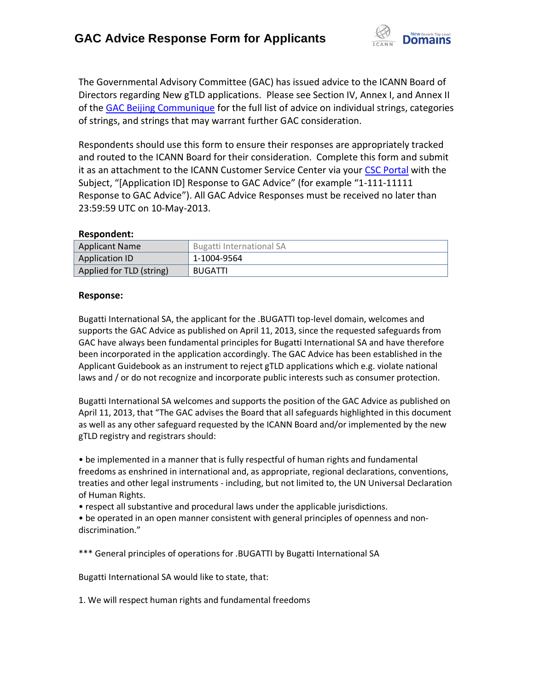

The Governmental Advisory Committee (GAC) has issued advice to the ICANN Board of Directors regarding New gTLD applications. Please see Section IV, Annex I, and Annex II of the [GAC Beijing Communique](http://www.icann.org/en/news/correspondence/gac-to-board-18apr13-en.pdf) for the full list of advice on individual strings, categories of strings, and strings that may warrant further GAC consideration.

Respondents should use this form to ensure their responses are appropriately tracked and routed to the ICANN Board for their consideration. Complete this form and submit it as an attachment to the ICANN Customer Service Center via your CSC [Portal](https://myicann.secure.force.com/) with the Subject, "[Application ID] Response to GAC Advice" (for example "1-111-11111 Response to GAC Advice"). All GAC Advice Responses must be received no later than 23:59:59 UTC on 10-May-2013.

## **Respondent:**

| <b>Applicant Name</b>    | Bugatti International SA |
|--------------------------|--------------------------|
| <b>Application ID</b>    | 1-1004-9564              |
| Applied for TLD (string) | <b>BUGATTI</b>           |

## **Response:**

Bugatti International SA, the applicant for the .BUGATTI top-level domain, welcomes and supports the GAC Advice as published on April 11, 2013, since the requested safeguards from GAC have always been fundamental principles for Bugatti International SA and have therefore been incorporated in the application accordingly. The GAC Advice has been established in the Applicant Guidebook as an instrument to reject gTLD applications which e.g. violate national laws and / or do not recognize and incorporate public interests such as consumer protection.

Bugatti International SA welcomes and supports the position of the GAC Advice as published on April 11, 2013, that "The GAC advises the Board that all safeguards highlighted in this document as well as any other safeguard requested by the ICANN Board and/or implemented by the new gTLD registry and registrars should:

• be implemented in a manner that is fully respectful of human rights and fundamental freedoms as enshrined in international and, as appropriate, regional declarations, conventions, treaties and other legal instruments - including, but not limited to, the UN Universal Declaration of Human Rights.

• respect all substantive and procedural laws under the applicable jurisdictions.

• be operated in an open manner consistent with general principles of openness and non‐ discrimination."

\*\*\* General principles of operations for .BUGATTI by Bugatti International SA

Bugatti International SA would like to state, that:

1. We will respect human rights and fundamental freedoms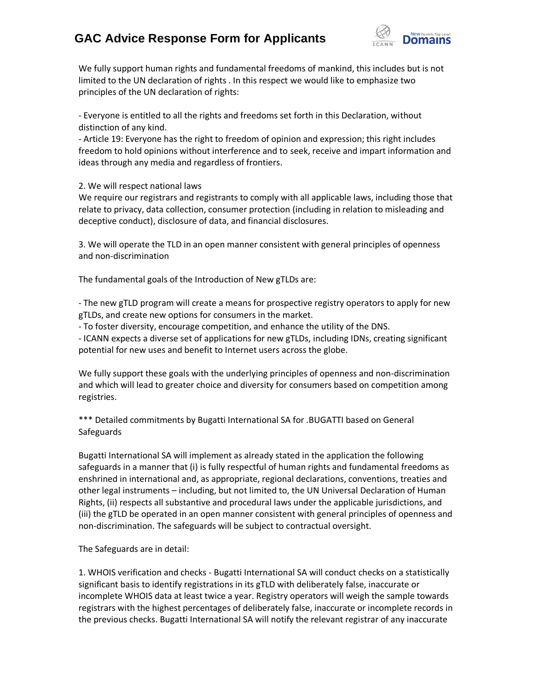## **GAC Advice Response Form for Applicants**



We fully support human rights and fundamental freedoms of mankind, this includes but is not limited to the UN declaration of rights . In this respect we would like to emphasize two principles of the UN declaration of rights:

- Everyone is entitled to all the rights and freedoms set forth in this Declaration, without distinction of any kind.

- Article 19: Everyone has the right to freedom of opinion and expression; this right includes freedom to hold opinions without interference and to seek, receive and impart information and ideas through any media and regardless of frontiers.

2. We will respect national laws

We require our registrars and registrants to comply with all applicable laws, including those that relate to privacy, data collection, consumer protection (including in relation to misleading and deceptive conduct), disclosure of data, and financial disclosures.

3. We will operate the TLD in an open manner consistent with general principles of openness and non‐discrimination

The fundamental goals of the Introduction of New gTLDs are:

- The new gTLD program will create a means for prospective registry operators to apply for new gTLDs, and create new options for consumers in the market.

- To foster diversity, encourage competition, and enhance the utility of the DNS.

- ICANN expects a diverse set of applications for new gTLDs, including IDNs, creating significant potential for new uses and benefit to Internet users across the globe.

We fully support these goals with the underlying principles of openness and non-discrimination and which will lead to greater choice and diversity for consumers based on competition among registries.

\*\*\* Detailed commitments by Bugatti International SA for .BUGATTI based on General Safeguards

Bugatti International SA will implement as already stated in the application the following safeguards in a manner that (i) is fully respectful of human rights and fundamental freedoms as enshrined in international and, as appropriate, regional declarations, conventions, treaties and other legal instruments – including, but not limited to, the UN Universal Declaration of Human Rights, (ii) respects all substantive and procedural laws under the applicable jurisdictions, and (iii) the gTLD be operated in an open manner consistent with general principles of openness and non‐discrimination. The safeguards will be subject to contractual oversight.

The Safeguards are in detail:

1. WHOIS verification and checks - Bugatti International SA will conduct checks on a statistically significant basis to identify registrations in its gTLD with deliberately false, inaccurate or incomplete WHOIS data at least twice a year. Registry operators will weigh the sample towards registrars with the highest percentages of deliberately false, inaccurate or incomplete records in the previous checks. Bugatti International SA will notify the relevant registrar of any inaccurate